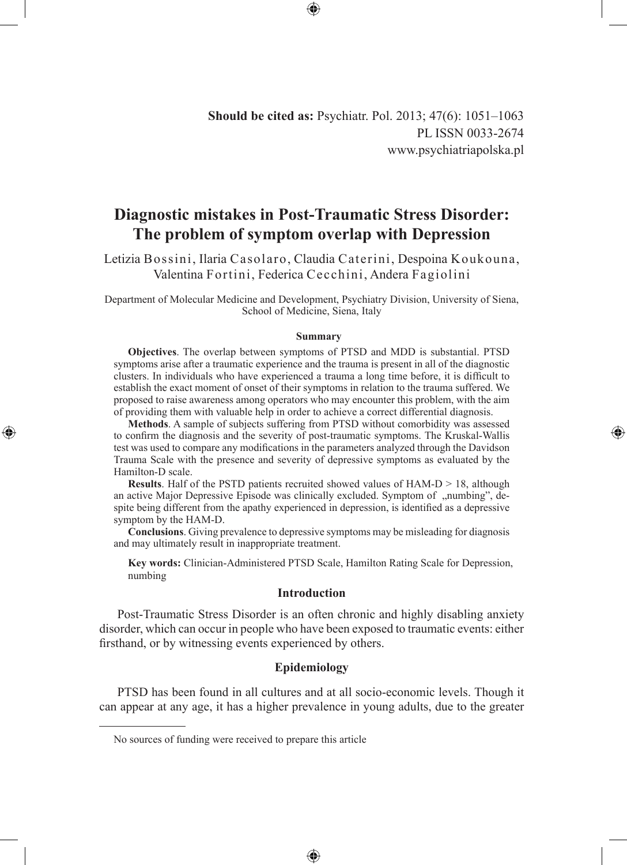**Should be cited as:** Psychiatr. Pol. 2013; 47(6): 1051–1063 PL ISSN 0033-2674 www.psychiatriapolska.pl

# **Diagnostic mistakes in Post-Traumatic Stress Disorder: The problem of symptom overlap with Depression**

Letizia Bossini, Ilaria Casolaro, Claudia Caterini, Despoina Koukouna, Valentina Fortini, Federica Cecchini, Andera Fagiolini

Department of Molecular Medicine and Development, Psychiatry Division, University of Siena, School of Medicine, Siena, Italy

#### **Summary**

**Objectives**. The overlap between symptoms of PTSD and MDD is substantial. PTSD symptoms arise after a traumatic experience and the trauma is present in all of the diagnostic clusters. In individuals who have experienced a trauma a long time before, it is difficult to establish the exact moment of onset of their symptoms in relation to the trauma suffered. We proposed to raise awareness among operators who may encounter this problem, with the aim of providing them with valuable help in order to achieve a correct differential diagnosis.

**Methods**. A sample of subjects suffering from PTSD without comorbidity was assessed to confirm the diagnosis and the severity of post-traumatic symptoms. The Kruskal-Wallis test was used to compare any modifications in the parameters analyzed through the Davidson Trauma Scale with the presence and severity of depressive symptoms as evaluated by the Hamilton-D scale.

◈

**Results**. Half of the PSTD patients recruited showed values of HAM-D  $> 18$ , although an active Major Depressive Episode was clinically excluded. Symptom of "numbing", despite being different from the apathy experienced in depression, is identified as a depressive symptom by the HAM-D.

**Conclusions**. Giving prevalence to depressive symptoms may be misleading for diagnosis and may ultimately result in inappropriate treatment.

**Key words:** Clinician-Administered PTSD Scale, Hamilton Rating Scale for Depression, numbing

### **Introduction**

Post-Traumatic Stress Disorder is an often chronic and highly disabling anxiety disorder, which can occur in people who have been exposed to traumatic events: either firsthand, or by witnessing events experienced by others.

# **Epidemiology**

PTSD has been found in all cultures and at all socio-economic levels. Though it can appear at any age, it has a higher prevalence in young adults, due to the greater

⊕

No sources of funding were received to prepare this article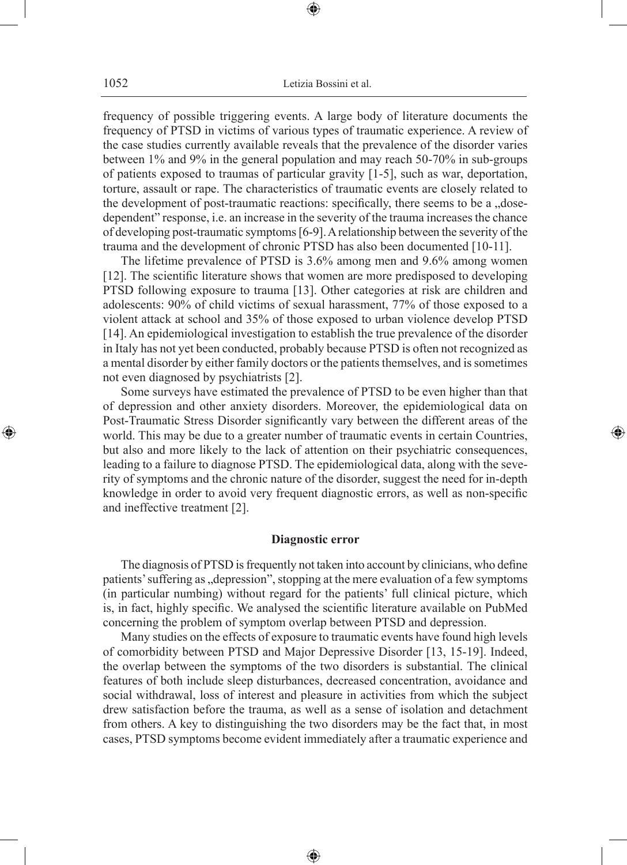1052 Letizia Bossini et al.

⊕

frequency of possible triggering events. A large body of literature documents the frequency of PTSD in victims of various types of traumatic experience. A review of the case studies currently available reveals that the prevalence of the disorder varies between 1% and 9% in the general population and may reach 50-70% in sub-groups of patients exposed to traumas of particular gravity [1-5], such as war, deportation, torture, assault or rape. The characteristics of traumatic events are closely related to the development of post-traumatic reactions: specifically, there seems to be a ..dosedependent" response, i.e. an increase in the severity of the trauma increases the chance of developing post-traumatic symptoms [6-9]. A relationship between the severity of the trauma and the development of chronic PTSD has also been documented [10-11].

The lifetime prevalence of PTSD is 3.6% among men and 9.6% among women [12]. The scientific literature shows that women are more predisposed to developing PTSD following exposure to trauma [13]. Other categories at risk are children and adolescents: 90% of child victims of sexual harassment, 77% of those exposed to a violent attack at school and 35% of those exposed to urban violence develop PTSD [14]. An epidemiological investigation to establish the true prevalence of the disorder in Italy has not yet been conducted, probably because PTSD is often not recognized as a mental disorder by either family doctors or the patients themselves, and is sometimes not even diagnosed by psychiatrists [2].

Some surveys have estimated the prevalence of PTSD to be even higher than that of depression and other anxiety disorders. Moreover, the epidemiological data on Post-Traumatic Stress Disorder significantly vary between the different areas of the world. This may be due to a greater number of traumatic events in certain Countries, but also and more likely to the lack of attention on their psychiatric consequences, leading to a failure to diagnose PTSD. The epidemiological data, along with the severity of symptoms and the chronic nature of the disorder, suggest the need for in-depth knowledge in order to avoid very frequent diagnostic errors, as well as non-specific and ineffective treatment [2].

◈

### **Diagnostic error**

The diagnosis of PTSD is frequently not taken into account by clinicians, who define patients' suffering as "depression", stopping at the mere evaluation of a few symptoms (in particular numbing) without regard for the patients' full clinical picture, which is, in fact, highly specific. We analysed the scientific literature available on PubMed concerning the problem of symptom overlap between PTSD and depression.

Many studies on the effects of exposure to traumatic events have found high levels of comorbidity between PTSD and Major Depressive Disorder [13, 15-19]. Indeed, the overlap between the symptoms of the two disorders is substantial. The clinical features of both include sleep disturbances, decreased concentration, avoidance and social withdrawal, loss of interest and pleasure in activities from which the subject drew satisfaction before the trauma, as well as a sense of isolation and detachment from others. A key to distinguishing the two disorders may be the fact that, in most cases, PTSD symptoms become evident immediately after a traumatic experience and

⊕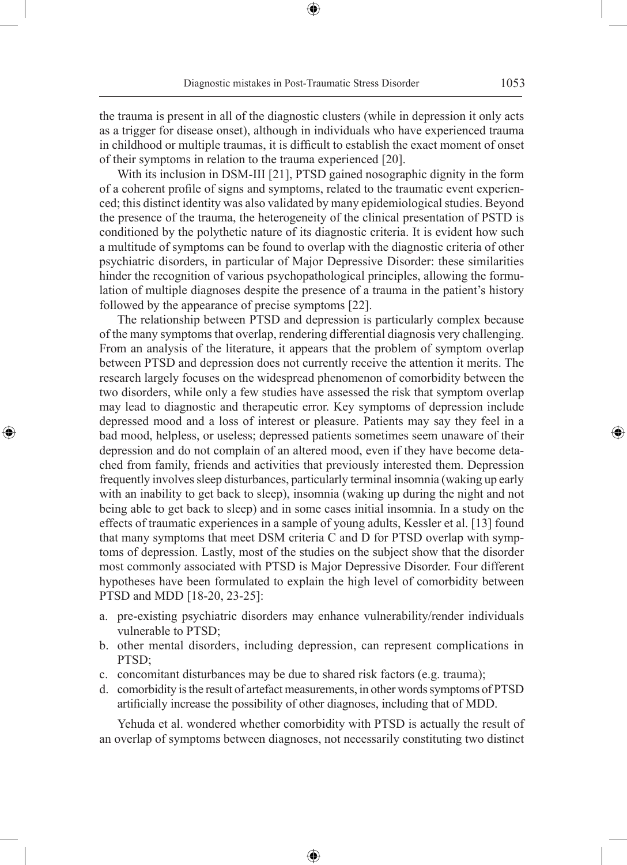⊕

the trauma is present in all of the diagnostic clusters (while in depression it only acts as a trigger for disease onset), although in individuals who have experienced trauma in childhood or multiple traumas, it is difficult to establish the exact moment of onset of their symptoms in relation to the trauma experienced [20].

With its inclusion in DSM-III [21], PTSD gained nosographic dignity in the form of a coherent profile of signs and symptoms, related to the traumatic event experienced; this distinct identity was also validated by many epidemiological studies. Beyond the presence of the trauma, the heterogeneity of the clinical presentation of PSTD is conditioned by the polythetic nature of its diagnostic criteria. It is evident how such a multitude of symptoms can be found to overlap with the diagnostic criteria of other psychiatric disorders, in particular of Major Depressive Disorder: these similarities hinder the recognition of various psychopathological principles, allowing the formulation of multiple diagnoses despite the presence of a trauma in the patient's history followed by the appearance of precise symptoms [22].

The relationship between PTSD and depression is particularly complex because of the many symptoms that overlap, rendering differential diagnosis very challenging. From an analysis of the literature, it appears that the problem of symptom overlap between PTSD and depression does not currently receive the attention it merits. The research largely focuses on the widespread phenomenon of comorbidity between the two disorders, while only a few studies have assessed the risk that symptom overlap may lead to diagnostic and therapeutic error. Key symptoms of depression include depressed mood and a loss of interest or pleasure. Patients may say they feel in a bad mood, helpless, or useless; depressed patients sometimes seem unaware of their depression and do not complain of an altered mood, even if they have become detached from family, friends and activities that previously interested them. Depression frequently involves sleep disturbances, particularly terminal insomnia (waking up early with an inability to get back to sleep), insomnia (waking up during the night and not being able to get back to sleep) and in some cases initial insomnia. In a study on the effects of traumatic experiences in a sample of young adults, Kessler et al. [13] found that many symptoms that meet DSM criteria C and D for PTSD overlap with symptoms of depression. Lastly, most of the studies on the subject show that the disorder most commonly associated with PTSD is Major Depressive Disorder. Four different hypotheses have been formulated to explain the high level of comorbidity between PTSD and MDD [18-20, 23-25]:

◈

- a. pre-existing psychiatric disorders may enhance vulnerability/render individuals vulnerable to PTSD;
- b. other mental disorders, including depression, can represent complications in PTSD;
- c. concomitant disturbances may be due to shared risk factors (e.g. trauma);
- d. comorbidity is the result of artefact measurements, in other words symptoms of PTSD artificially increase the possibility of other diagnoses, including that of MDD.

Yehuda et al. wondered whether comorbidity with PTSD is actually the result of an overlap of symptoms between diagnoses, not necessarily constituting two distinct

⊕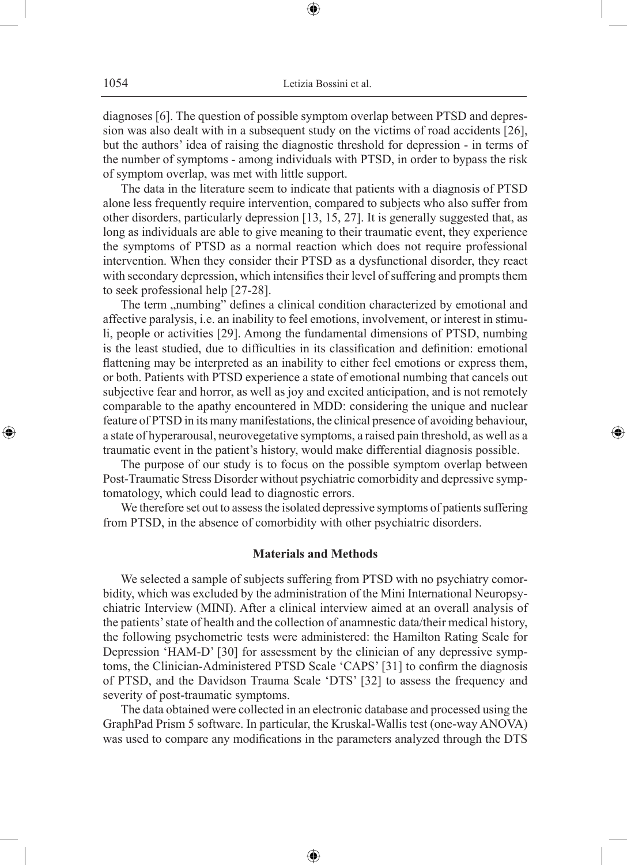⊕

diagnoses [6]. The question of possible symptom overlap between PTSD and depression was also dealt with in a subsequent study on the victims of road accidents [26], but the authors' idea of raising the diagnostic threshold for depression - in terms of the number of symptoms - among individuals with PTSD, in order to bypass the risk of symptom overlap, was met with little support.

The data in the literature seem to indicate that patients with a diagnosis of PTSD alone less frequently require intervention, compared to subjects who also suffer from other disorders, particularly depression [13, 15, 27]. It is generally suggested that, as long as individuals are able to give meaning to their traumatic event, they experience the symptoms of PTSD as a normal reaction which does not require professional intervention. When they consider their PTSD as a dysfunctional disorder, they react with secondary depression, which intensifies their level of suffering and prompts them to seek professional help [27-28].

The term "numbing" defines a clinical condition characterized by emotional and affective paralysis, i.e. an inability to feel emotions, involvement, or interest in stimuli, people or activities [29]. Among the fundamental dimensions of PTSD, numbing is the least studied, due to difficulties in its classification and definition: emotional flattening may be interpreted as an inability to either feel emotions or express them, or both. Patients with PTSD experience a state of emotional numbing that cancels out subjective fear and horror, as well as joy and excited anticipation, and is not remotely comparable to the apathy encountered in MDD: considering the unique and nuclear feature of PTSD in its many manifestations, the clinical presence of avoiding behaviour, a state of hyperarousal, neurovegetative symptoms, a raised pain threshold, as well as a traumatic event in the patient's history, would make differential diagnosis possible.

The purpose of our study is to focus on the possible symptom overlap between Post-Traumatic Stress Disorder without psychiatric comorbidity and depressive symptomatology, which could lead to diagnostic errors.

◈

We therefore set out to assess the isolated depressive symptoms of patients suffering from PTSD, in the absence of comorbidity with other psychiatric disorders.

### **Materials and Methods**

We selected a sample of subjects suffering from PTSD with no psychiatry comorbidity, which was excluded by the administration of the Mini International Neuropsychiatric Interview (MINI). After a clinical interview aimed at an overall analysis of the patients' state of health and the collection of anamnestic data/their medical history, the following psychometric tests were administered: the Hamilton Rating Scale for Depression 'HAM-D' [30] for assessment by the clinician of any depressive symptoms, the Clinician-Administered PTSD Scale 'CAPS' [31] to confirm the diagnosis of PTSD, and the Davidson Trauma Scale 'DTS' [32] to assess the frequency and severity of post-traumatic symptoms.

The data obtained were collected in an electronic database and processed using the GraphPad Prism 5 software. In particular, the Kruskal-Wallis test (one-way ANOVA) was used to compare any modifications in the parameters analyzed through the DTS

⊕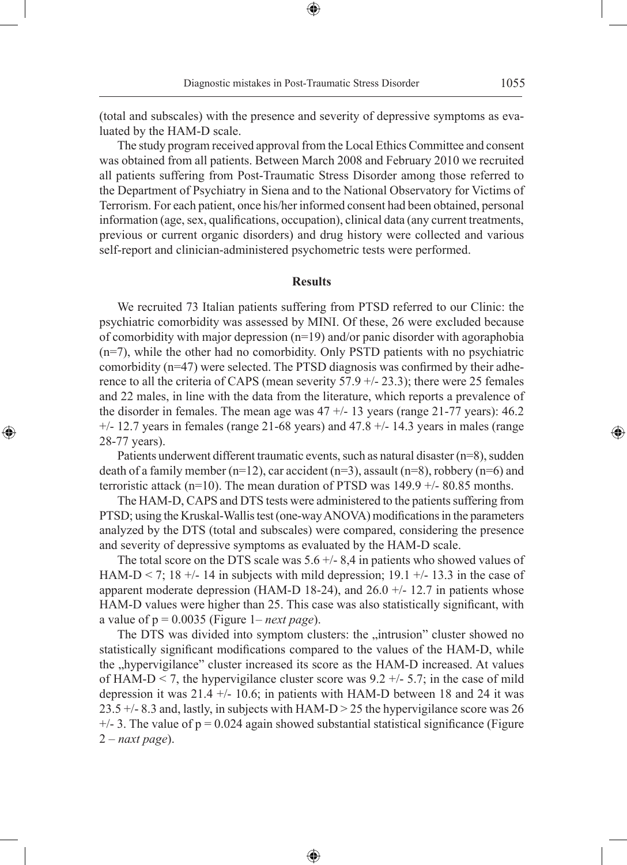(total and subscales) with the presence and severity of depressive symptoms as evaluated by the HAM-D scale.

⊕

The study program received approval from the Local Ethics Committee and consent was obtained from all patients. Between March 2008 and February 2010 we recruited all patients suffering from Post-Traumatic Stress Disorder among those referred to the Department of Psychiatry in Siena and to the National Observatory for Victims of Terrorism. For each patient, once his/her informed consent had been obtained, personal information (age, sex, qualifications, occupation), clinical data (any current treatments, previous or current organic disorders) and drug history were collected and various self-report and clinician-administered psychometric tests were performed.

# **Results**

We recruited 73 Italian patients suffering from PTSD referred to our Clinic: the psychiatric comorbidity was assessed by MINI. Of these, 26 were excluded because of comorbidity with major depression (n=19) and/or panic disorder with agoraphobia (n=7), while the other had no comorbidity. Only PSTD patients with no psychiatric comorbidity (n=47) were selected. The PTSD diagnosis was confirmed by their adherence to all the criteria of CAPS (mean severity 57.9 +/- 23.3); there were 25 females and 22 males, in line with the data from the literature, which reports a prevalence of the disorder in females. The mean age was  $47 +113$  years (range 21-77 years): 46.2  $+/- 12.7$  years in females (range 21-68 years) and 47.8  $+/- 14.3$  years in males (range 28-77 years).

Patients underwent different traumatic events, such as natural disaster (n=8), sudden death of a family member  $(n=12)$ , car accident  $(n=3)$ , assault  $(n=8)$ , robbery  $(n=6)$  and terroristic attack (n=10). The mean duration of PTSD was  $149.9 +/- 80.85$  months.

◈

The HAM-D, CAPS and DTS tests were administered to the patients suffering from PTSD; using the Kruskal-Wallis test (one-way ANOVA) modifications in the parameters analyzed by the DTS (total and subscales) were compared, considering the presence and severity of depressive symptoms as evaluated by the HAM-D scale.

The total score on the DTS scale was  $5.6 +/- 8.4$  in patients who showed values of HAM-D < 7; 18  $+/-$  14 in subjects with mild depression; 19.1  $+/-$  13.3 in the case of apparent moderate depression (HAM-D 18-24), and 26.0  $+/- 12.7$  in patients whose HAM-D values were higher than 25. This case was also statistically significant, with a value of  $p = 0.0035$  (Figure 1– *next page*).

The DTS was divided into symptom clusters: the "intrusion" cluster showed no statistically significant modifications compared to the values of the HAM-D, while the "hypervigilance" cluster increased its score as the HAM-D increased. At values of HAM-D < 7, the hypervigilance cluster score was  $9.2 +/- 5.7$ ; in the case of mild depression it was  $21.4 +/- 10.6$ ; in patients with HAM-D between 18 and 24 it was 23.5  $+/-$  8.3 and, lastly, in subjects with HAM-D  $>$  25 the hypervigilance score was 26  $+/-$  3. The value of  $p = 0.024$  again showed substantial statistical significance (Figure 2 – *naxt page*).

⊕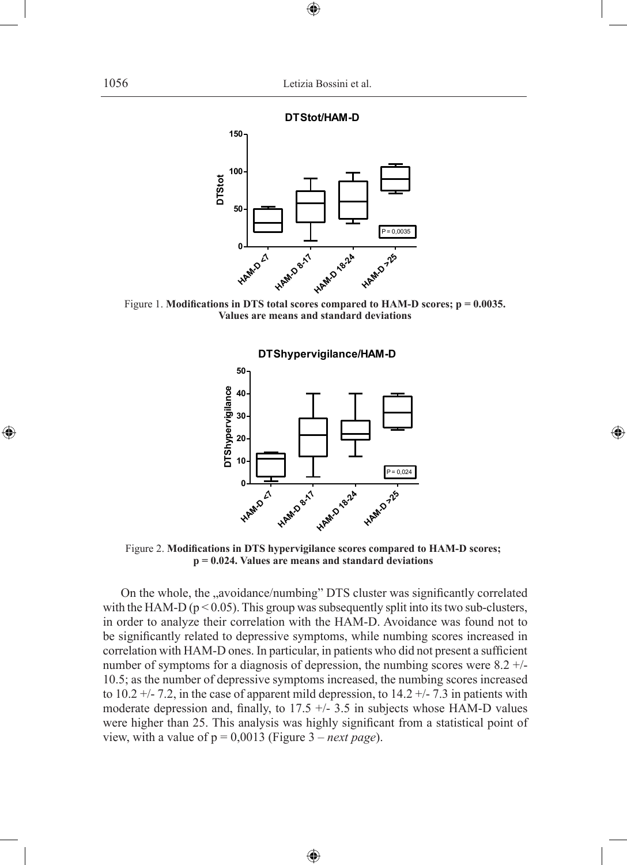$\bigoplus$ 



Figure 1. **Modifications in DTS total scores compared to HAM-D scores; p = 0.0035. Values are means and standard deviations**



⊕

Figure 2. **Modifications in DTS hypervigilance scores compared to HAM-D scores; p = 0.024. Values are means and standard deviations**

On the whole, the "avoidance/numbing" DTS cluster was significantly correlated with the HAM-D ( $p < 0.05$ ). This group was subsequently split into its two sub-clusters, in order to analyze their correlation with the HAM-D. Avoidance was found not to be significantly related to depressive symptoms, while numbing scores increased in correlation with HAM-D ones. In particular, in patients who did not present a sufficient number of symptoms for a diagnosis of depression, the numbing scores were 8.2 +/- 10.5; as the number of depressive symptoms increased, the numbing scores increased to  $10.2 +/- 7.2$ , in the case of apparent mild depression, to  $14.2 +/- 7.3$  in patients with moderate depression and, finally, to  $17.5 +/- 3.5$  in subjects whose HAM-D values were higher than 25. This analysis was highly significant from a statistical point of view, with a value of p = 0,0013 (Figure 3 – *next page*).

⊕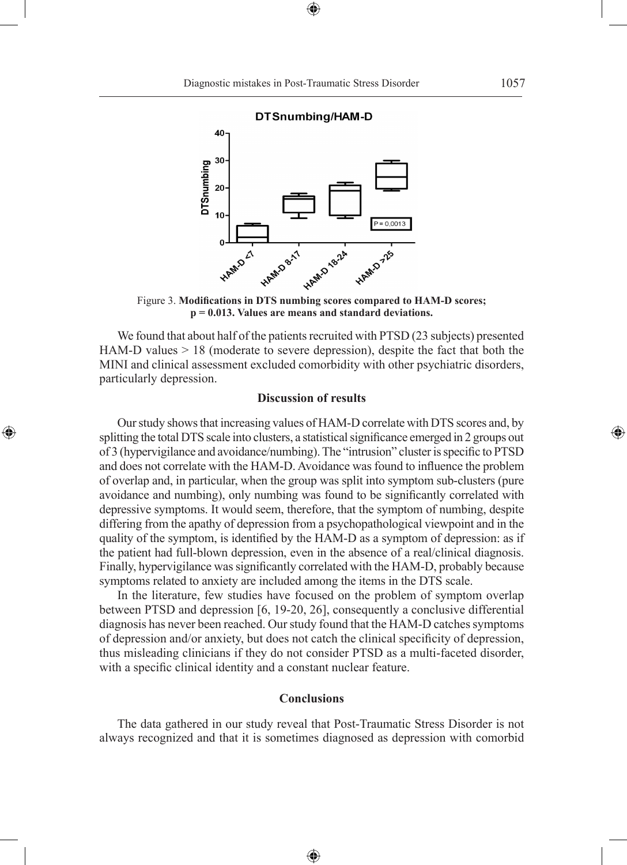⊕



**DTSnumbing** 

◈

 $\mathbf{0}$ 

Figure 3. **Modifications in DTS numbing scores compared to HAM-D scores; p = 0.013. Values are means and standard deviations.**

HAMO 18.24

HAMO 725

We found that about half of the patients recruited with PTSD (23 subjects) presented HAM-D values  $> 18$  (moderate to severe depression), despite the fact that both the MINI and clinical assessment excluded comorbidity with other psychiatric disorders, particularly depression.

# **Discussion of results**

Our study shows that increasing values of HAM-D correlate with DTS scores and, by splitting the total DTS scale into clusters, a statistical significance emerged in 2 groups out of 3 (hypervigilance and avoidance/numbing). The "intrusion" cluster is specific to PTSD and does not correlate with the HAM-D. Avoidance was found to influence the problem of overlap and, in particular, when the group was split into symptom sub-clusters (pure avoidance and numbing), only numbing was found to be significantly correlated with depressive symptoms. It would seem, therefore, that the symptom of numbing, despite differing from the apathy of depression from a psychopathological viewpoint and in the quality of the symptom, is identified by the HAM-D as a symptom of depression: as if the patient had full-blown depression, even in the absence of a real/clinical diagnosis. Finally, hypervigilance was significantly correlated with the HAM-D, probably because symptoms related to anxiety are included among the items in the DTS scale.

In the literature, few studies have focused on the problem of symptom overlap between PTSD and depression [6, 19-20, 26], consequently a conclusive differential diagnosis has never been reached. Our study found that the HAM-D catches symptoms of depression and/or anxiety, but does not catch the clinical specificity of depression, thus misleading clinicians if they do not consider PTSD as a multi-faceted disorder, with a specific clinical identity and a constant nuclear feature.

# **Conclusions**

The data gathered in our study reveal that Post-Traumatic Stress Disorder is not always recognized and that it is sometimes diagnosed as depression with comorbid

⊕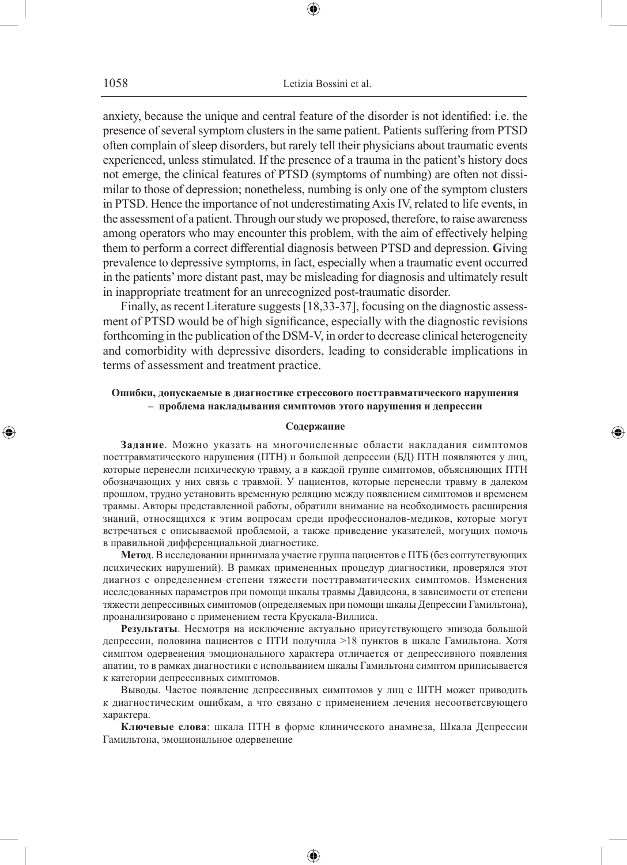anxiety, because the unique and central feature of the disorder is not identified: i.e. the presence of several symptom clusters in the same patient. Patients suffering from PTSD often complain of sleep disorders, but rarely tell their physicians about traumatic events experienced, unless stimulated. If the presence of a trauma in the patient's history does not emerge, the clinical features of PTSD (symptoms of numbing) are often not dissimilar to those of depression; nonetheless, numbing is only one of the symptom clusters in PTSD. Hence the importance of not underestimating Axis IV, related to life events, in the assessment of a patient. Through our study we proposed, therefore, to raise awareness among operators who may encounter this problem, with the aim of effectively helping them to perform a correct differential diagnosis between PTSD and depression. **G**iving prevalence to depressive symptoms, in fact, especially when a traumatic event occurred in the patients' more distant past, may be misleading for diagnosis and ultimately result in inappropriate treatment for an unrecognized post-traumatic disorder.

Finally, as recent Literature suggests [18,33-37], focusing on the diagnostic assessment of PTSD would be of high significance, especially with the diagnostic revisions forthcoming in the publication of the DSM-V, in order to decrease clinical heterogeneity and comorbidity with depressive disorders, leading to considerable implications in terms of assessment and treatment practice.

### **Ошибки, допускаемые в диагностике стрессового посттравматического нарушения – проблема накладывания симптомов этого нарушения и депрессии**

#### **Содержание**

◈

**Задание**. Можно указать на многочисленные области накладания симптомов посттравматического нарушения (ПТН) и большой депрессии (БД) ПТН появляются у лиц, которые перенесли психическую травму, а в каждой группе симптомов, объясняющих ПТН обозначающих у них связь с травмой. У пациентов, которые перенесли травму в далеком прошлом, трудно установить временную реляцию между появлением симптомов и временем травмы. Авторы представленной работы, обратили внимание на необходимость расширения знаний, относящихся к этим вопросам среди профессионалов-медиков, которые могут встречаться с описываемой проблемой, а также приведение указателей, могущих помочь в правильной дифференциальной диагностике.

**Метод**. В исследовании принимала участие группа пациентов с ПТБ (без соптутствующих психических нарушений). В рамках примененных процедур диагностики, проверялся этот диагноз с определением степени тяжести посттравматических симптомов. Изменения исследованных параметров при помощи шкалы травмы Давидсона, в зависимости от степени тяжести депрессивных симптомов (определяемых при помощи шкалы Депрессии Гамильтона), проанализировано с применением теста Крускала-Виллиса.

**Результаты**. Несмотря на исключение актуально присутствующего эпизода большой депрессии, половина пациентов с ПТИ получила >18 пунктов в шкале Гамильтона. Хотя симптом одервенения эмоционального характера отличается от депрессивного появления апатии, то в рамках диагностики с испольванием шкалы Гамильтона симптом приписывается к категории депрессивных симптомов.

Выводы. Частое появление депрессивных симптомов у лиц с ШТН может приводить к диагностическим ошибкам, а что связано с применением лечения несоответсвующего характера.

**Ключевые слова**: шкала ПТН в форме клинического анамнеза, Шкала Депрессии Гамильтона, эмоциональное одервенение

♠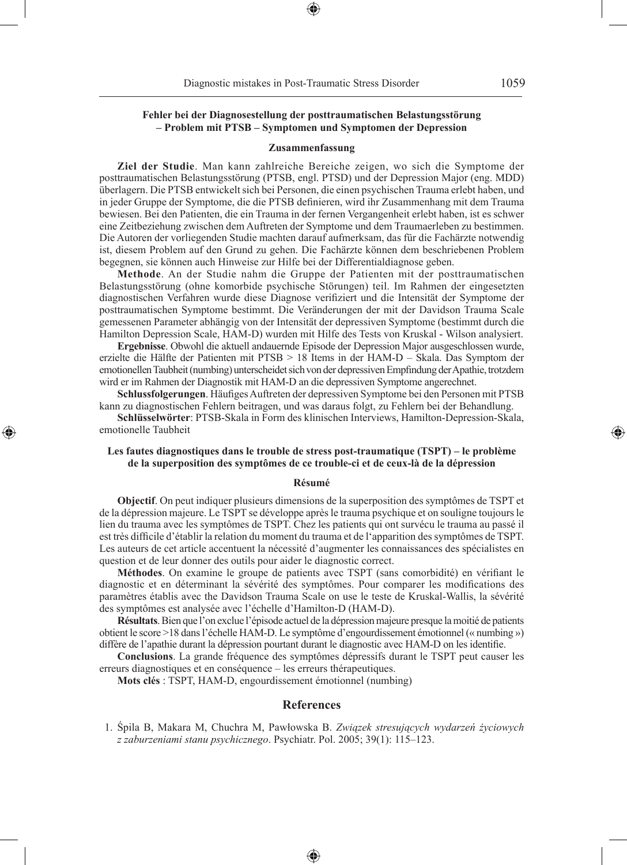### **Fehler bei der Diagnosestellung der posttraumatischen Belastungsstörung – Problem mit PTSB – Symptomen und Symptomen der Depression**

#### **Zusammenfassung**

**Ziel der Studie**. Man kann zahlreiche Bereiche zeigen, wo sich die Symptome der posttraumatischen Belastungsstörung (PTSB, engl. PTSD) und der Depression Major (eng. MDD) überlagern. Die PTSB entwickelt sich bei Personen, die einen psychischen Trauma erlebt haben, und in jeder Gruppe der Symptome, die die PTSB definieren, wird ihr Zusammenhang mit dem Trauma bewiesen. Bei den Patienten, die ein Trauma in der fernen Vergangenheit erlebt haben, ist es schwer eine Zeitbeziehung zwischen dem Auftreten der Symptome und dem Traumaerleben zu bestimmen. Die Autoren der vorliegenden Studie machten darauf aufmerksam, das für die Fachärzte notwendig ist, diesem Problem auf den Grund zu gehen. Die Fachärzte können dem beschriebenen Problem begegnen, sie können auch Hinweise zur Hilfe bei der Differentialdiagnose geben.

**Methode**. An der Studie nahm die Gruppe der Patienten mit der posttraumatischen Belastungsstörung (ohne komorbide psychische Störungen) teil. Im Rahmen der eingesetzten diagnostischen Verfahren wurde diese Diagnose verifiziert und die Intensität der Symptome der posttraumatischen Symptome bestimmt. Die Veränderungen der mit der Davidson Trauma Scale gemessenen Parameter abhängig von der Intensität der depressiven Symptome (bestimmt durch die Hamilton Depression Scale, HAM-D) wurden mit Hilfe des Tests von Kruskal - Wilson analysiert.

**Ergebnisse**. Obwohl die aktuell andauernde Episode der Depression Major ausgeschlossen wurde, erzielte die Hälfte der Patienten mit PTSB > 18 Items in der HAM-D – Skala. Das Symptom der emotionellen Taubheit (numbing) unterscheidet sich von der depressiven Empfindung der Apathie, trotzdem wird er im Rahmen der Diagnostik mit HAM-D an die depressiven Symptome angerechnet.

**Schlussfolgerungen**. Häufiges Auftreten der depressiven Symptome bei den Personen mit PTSB kann zu diagnostischen Fehlern beitragen, und was daraus folgt, zu Fehlern bei der Behandlung.

**Schlüsselwörter**: PTSB-Skala in Form des klinischen Interviews, Hamilton-Depression-Skala, emotionelle Taubheit

◈

### **Les fautes diagnostiques dans le trouble de stress post-traumatique (TSPT) – le problème de la superposition des symptômes de ce trouble-ci et de ceux-là de la dépression**

#### **Résumé**

**Objectif**. On peut indiquer plusieurs dimensions de la superposition des symptômes de TSPT et de la dépression majeure. Le TSPT se développe après le trauma psychique et on souligne toujours le lien du trauma avec les symptômes de TSPT. Chez les patients qui ont survécu le trauma au passé il est très difficile d'établir la relation du moment du trauma et de l'apparition des symptômes de TSPT. Les auteurs de cet article accentuent la nécessité d'augmenter les connaissances des spécialistes en question et de leur donner des outils pour aider le diagnostic correct.

**Méthodes**. On examine le groupe de patients avec TSPT (sans comorbidité) en vérifiant le diagnostic et en déterminant la sévérité des symptômes. Pour comparer les modifications des paramètres établis avec the Davidson Trauma Scale on use le teste de Kruskal-Wallis, la sévérité des symptômes est analysée avec l'échelle d'Hamilton-D (HAM-D).

**Résultats**. Bien que l'on exclue l'épisode actuel de la dépression majeure presque la moitié de patients obtient le score >18 dans l'échelle HAM-D. Le symptôme d'engourdissement émotionnel (« numbing ») diffère de l'apathie durant la dépression pourtant durant le diagnostic avec HAM-D on les identifie.

**Conclusions**. La grande fréquence des symptômes dépressifs durant le TSPT peut causer les erreurs diagnostiques et en conséquence – les erreurs thérapeutiques.

**Mots clés** : TSPT, HAM-D, engourdissement émotionnel (numbing)

### **References**

 1. Śpila B, Makara M, Chuchra M, Pawłowska B. *Związek stresujących wydarzeń życiowych z zaburzeniami stanu psychicznego*. Psychiatr. Pol. 2005; 39(1): 115–123.

♠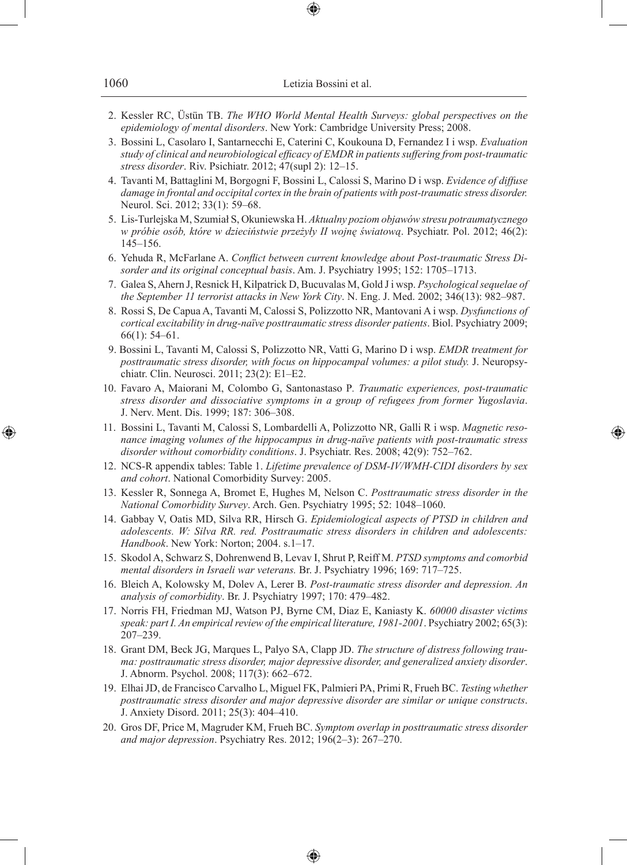| 1060 | Letizia Bossini et al. |
|------|------------------------|
|      |                        |

- 2. Kessler RC, Üstün TB. *The WHO World Mental Health Surveys: global perspectives on the epidemiology of mental disorders*. New York: Cambridge University Press; 2008.
- 3. Bossini L, Casolaro I, Santarnecchi E, Caterini C, Koukouna D, Fernandez I i wsp. *Evaluation study of clinical and neurobiological efficacy of EMDR in patients suffering from post-traumatic stress disorder*. Riv. Psichiatr. 2012; 47(supl 2): 12–15.
- 4. Tavanti M, Battaglini M, Borgogni F, Bossini L, Calossi S, Marino D i wsp. *Evidence of diffuse damage in frontal and occipital cortex in the brain of patients with post-traumatic stress disorder.* Neurol. Sci. 2012; 33(1): 59–68.
- 5. Lis-Turlejska M, Szumiał S, Okuniewska H. *Aktualny poziom objawów stresu potraumatycznego w próbie osób, które w dzieciństwie przeżyły II wojnę światową*. Psychiatr. Pol. 2012; 46(2): 145–156.
- 6. Yehuda R, McFarlane A. *Conflict between current knowledge about Post-traumatic Stress Disorder and its original conceptual basis*. Am. J. Psychiatry 1995; 152: 1705–1713.
- 7. Galea S, Ahern J, Resnick H, Kilpatrick D, Bucuvalas M, Gold J i wsp. *Psychological sequelae of the September 11 terrorist attacks in New York City*. N. Eng. J. Med. 2002; 346(13): 982–987.
- 8. Rossi S, De Capua A, Tavanti M, Calossi S, Polizzotto NR, Mantovani A i wsp. *Dysfunctions of cortical excitability in drug-naïve posttraumatic stress disorder patients*. Biol. Psychiatry 2009; 66(1): 54–61.
- 9. Bossini L, Tavanti M, Calossi S, Polizzotto NR, Vatti G, Marino D i wsp. *EMDR treatment for posttraumatic stress disorder, with focus on hippocampal volumes: a pilot study.* J. Neuropsychiatr. Clin. Neurosci. 2011; 23(2): E1–E2.
- 10. Favaro A, Maiorani M, Colombo G, Santonastaso P*. Traumatic experiences, post-traumatic stress disorder and dissociative symptoms in a group of refugees from former Yugoslavia*. J. Nerv. Ment. Dis. 1999; 187: 306–308.
- 11. Bossini L, Tavanti M, Calossi S, Lombardelli A, Polizzotto NR, Galli R i wsp. *Magnetic resonance imaging volumes of the hippocampus in drug-naïve patients with post-traumatic stress disorder without comorbidity conditions*. J. Psychiatr. Res. 2008; 42(9): 752–762.

◈

- 12. NCS-R appendix tables: Table 1. *Lifetime prevalence of DSM-IV/WMH-CIDI disorders by sex and cohort*. National Comorbidity Survey: 2005.
- 13. Kessler R, Sonnega A, Bromet E, Hughes M, Nelson C. *Posttraumatic stress disorder in the National Comorbidity Survey*. Arch. Gen. Psychiatry 1995; 52: 1048–1060.
- 14. Gabbay V, Oatis MD, Silva RR, Hirsch G. *Epidemiological aspects of PTSD in children and adolescents. W: Silva RR. red. Posttraumatic stress disorders in children and adolescents: Handbook*. New York: Norton; 2004. s.1–17.
- 15. Skodol A, Schwarz S, Dohrenwend B, Levav I, Shrut P, Reiff M. *PTSD symptoms and comorbid mental disorders in Israeli war veterans.* Br. J. Psychiatry 1996; 169: 717–725.
- 16. Bleich A, Kolowsky M, Dolev A, Lerer B. *Post-traumatic stress disorder and depression. An analysis of comorbidity*. Br. J. Psychiatry 1997; 170: 479–482.
- 17. Norris FH, Friedman MJ, Watson PJ, Byrne CM, Diaz E, Kaniasty K. *60000 disaster victims speak: part I. An empirical review of the empirical literature, 1981-2001*. Psychiatry 2002; 65(3): 207–239.
- 18. Grant DM, Beck JG, Marques L, Palyo SA, Clapp JD. *The structure of distress following trauma: posttraumatic stress disorder, major depressive disorder, and generalized anxiety disorder*. J. Abnorm. Psychol. 2008; 117(3): 662–672.
- 19. Elhai JD, de Francisco Carvalho L, Miguel FK, Palmieri PA, Primi R, Frueh BC. *Testing whether posttraumatic stress disorder and major depressive disorder are similar or unique constructs*. J. Anxiety Disord. 2011; 25(3): 404–410.
- 20. Gros DF, Price M, Magruder KM, Frueh BC. *Symptom overlap in posttraumatic stress disorder and major depression*. Psychiatry Res. 2012; 196(2–3): 267–270.

♠